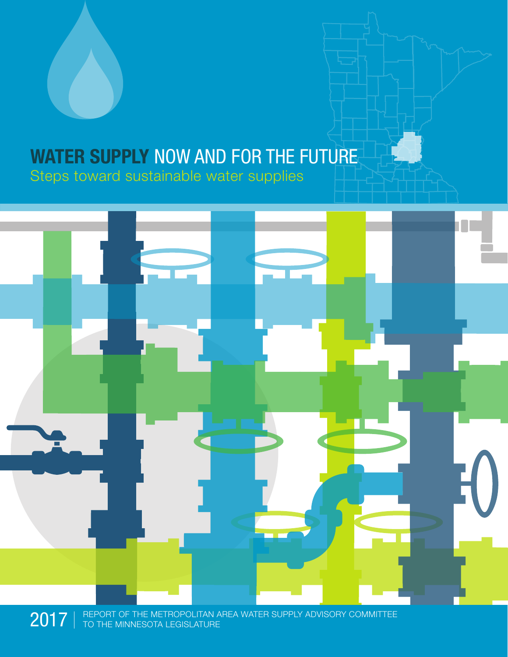## WATER SUPPLY NOW AND FOR THE FUTURE Steps toward sustainable water supplies



 $2017$   $\parallel$  REPORT OF THE METROPOLITAN AREA WATER SUPPLY ADVISORY COMMITTEE TO THE MINNESOTA LEGISLATURE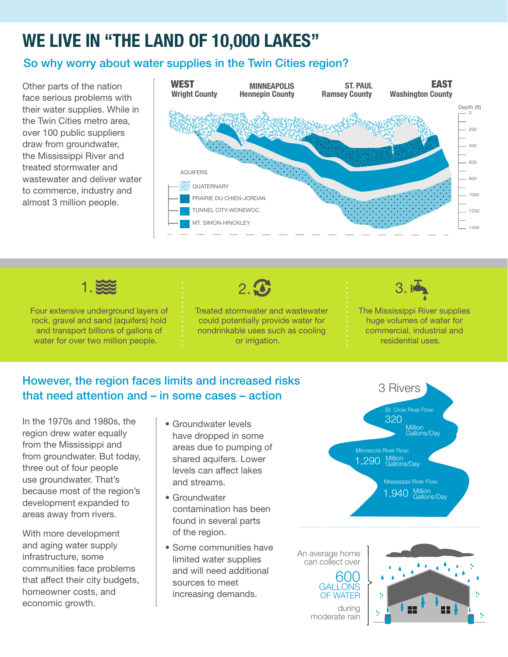## WE LIVE IN "THE LAND OF 10,000 LAKES"

### So why worry about water supplies in the Twin Cities region?

Other parts of the nation face serious problems with their water supplies. While in the Twin Cities metro area, over 100 public suppliers draw from groundwater, the Mississippi River and treated stormwater and wastewater and deliver water to commerce, industry and almost 3 million people.





Four extensive underground layers of rock, gravel and sand (aquifers) hold and transport billions of gallons of water for over two million people.



Treated stormwater and wastewater could potentially provide water for nondrinkable uses such as cooling or irrigation.



The Mississippi River supplies huge volumes of water for commercial, industrial and residential uses.

### However, the region faces limits and increased risks that need attention and – in some cases – action

In the 1970s and 1980s, the region drew water equally from the Mississippi and from groundwater. But today, three out of four people use groundwater. That's because most of the region's development expanded to areas away from rivers.

With more development and aging water supply infrastructure, some communities face problems that affect their city budgets, homeowner costs, and economic growth.

- Groundwater levels have dropped in some areas due to pumping of shared aquifers. Lower levels can affect lakes and streams.
- Groundwater contamination has been found in several parts of the region.
- Some communities have limited water supplies and will need additional sources to meet increasing demands.





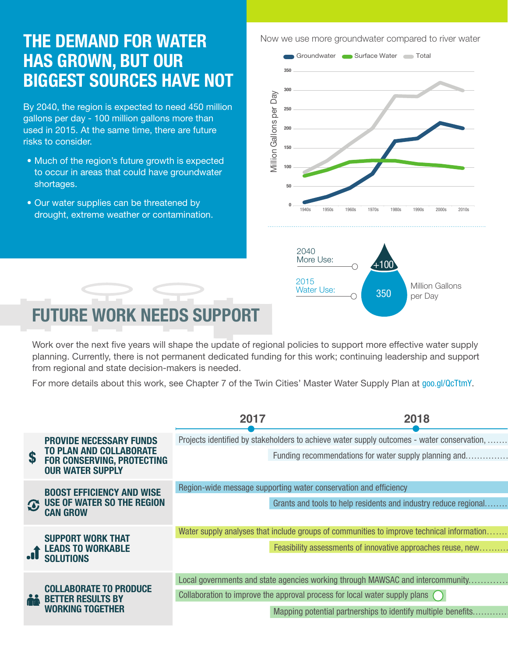## THE DEMAND FOR WATER HAS GROWN, BUT OUR BIGGEST SOURCES HAVE NOT

By 2040, the region is expected to need 450 million gallons per day - 100 million gallons more than used in 2015. At the same time, there are future risks to consider.

- Much of the region's future growth is expected to occur in areas that could have groundwater shortages.
- Our water supplies can be threatened by drought, extreme weather or contamination.

Now we use more groundwater compared to river water



# FUTURE WORK NEEDS SUPPORT

Work over the next five years will shape the update of regional policies to support more effective water supply planning. Currently, there is not permanent dedicated funding for this work; continuing leadership and support from regional and state decision-makers is needed.

For more details about this work, see Chapter 7 of the Twin Cities' Master Water Supply Plan at goo.gl/QcTtmY.

|  |                                                                                                                                  | 2017                                                                                 | 2018                                                                                       |
|--|----------------------------------------------------------------------------------------------------------------------------------|--------------------------------------------------------------------------------------|--------------------------------------------------------------------------------------------|
|  | <b>PROVIDE NECESSARY FUNDS</b><br><b>TO PLAN AND COLLABORATE</b><br><b>FOR CONSERVING, PROTECTING</b><br><b>OUR WATER SUPPLY</b> |                                                                                      | Projects identified by stakeholders to achieve water supply outcomes - water conservation, |
|  |                                                                                                                                  |                                                                                      | Funding recommendations for water supply planning and                                      |
|  | <b>BOOST EFFICIENCY AND WISE</b><br><b>3 USE OF WATER SO THE REGION</b><br><b>CAN GROW</b>                                       | Region-wide message supporting water conservation and efficiency                     |                                                                                            |
|  |                                                                                                                                  |                                                                                      | Grants and tools to help residents and industry reduce regional                            |
|  | <b>SUPPORT WORK THAT</b><br><b>LEADS TO WORKABLE</b><br>T SOLUTIONS                                                              |                                                                                      | Water supply analyses that include groups of communities to improve technical information  |
|  |                                                                                                                                  |                                                                                      | Feasibility assessments of innovative approaches reuse, new                                |
|  | <b>COLLABORATE TO PRODUCE</b><br><b>AND BETTER RESULTS BY</b><br><b>WORKING TOGETHER</b>                                         |                                                                                      | Local governments and state agencies working through MAWSAC and intercommunity             |
|  |                                                                                                                                  | Collaboration to improve the approval process for local water supply plans $\bigcap$ |                                                                                            |
|  |                                                                                                                                  |                                                                                      | Mapping potential partnerships to identify multiple benefits                               |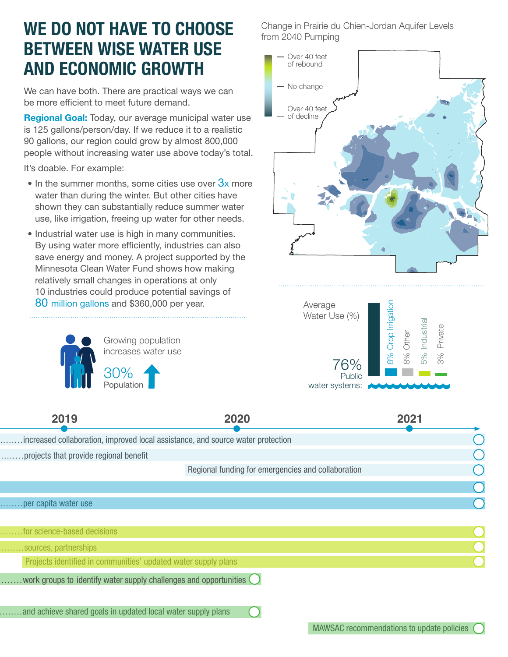## WE DO NOT HAVE TO CHOOSE BETWEEN WISE WATER USE AND ECONOMIC GROWTH

We can have both. There are practical ways we can be more efficient to meet future demand.

Regional Goal: Today, our average municipal water use is 125 gallons/person/day. If we reduce it to a realistic 90 gallons, our region could grow by almost 800,000 people without increasing water use above today's total.

It's doable. For example:

- In the summer months, some cities use over  $3x$  more water than during the winter. But other cities have shown they can substantially reduce summer water use, like irrigation, freeing up water for other needs.
- Industrial water use is high in many communities. By using water more efficiently, industries can also save energy and money. A project supported by the Minnesota Clean Water Fund shows how making relatively small changes in operations at only 10 industries could produce potential savings of 80 million gallons and \$360,000 per year.



........per capita water use

Change in Prairie du Chien-Jordan Aquifer Levels from 2040 Pumping





| 2019                                   | 2020                                                                            | 2021   |
|----------------------------------------|---------------------------------------------------------------------------------|--------|
|                                        | increased collaboration, improved local assistance, and source water protection |        |
| projects that provide regional benefit |                                                                                 |        |
|                                        | Regional funding for emergencies and collaboration                              |        |
|                                        |                                                                                 |        |
|                                        |                                                                                 | $\sim$ |

| for science-based decisions                                         |  |
|---------------------------------------------------------------------|--|
| sources, partnerships                                               |  |
| Projects identified in communities' updated water supply plans      |  |
| work groups to identify water supply challenges and opportunities ( |  |
|                                                                     |  |
| and achieve shared goals in updated local water supply plans        |  |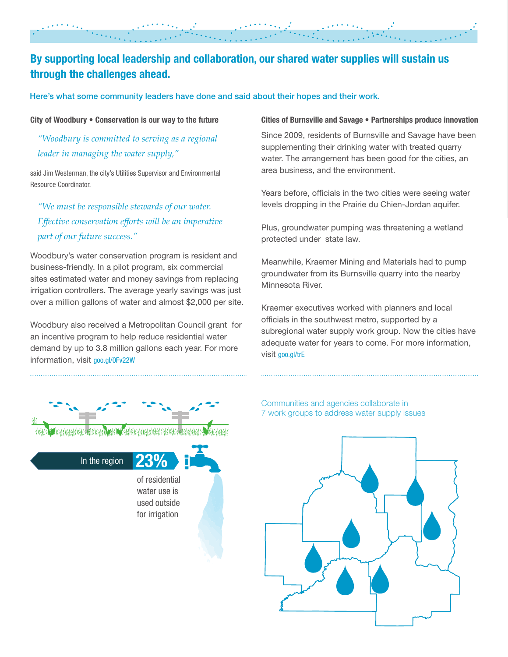### By supporting local leadership and collaboration, our shared water supplies will sustain us through the challenges ahead.

Here's what some community leaders have done and said about their hopes and their work.

#### City of Woodbury • Conservation is our way to the future

*"Woodbury is committed to serving as a regional leader in managing the water supply,"*

said Jim Westerman, the city's Utilities Supervisor and Environmental Resource Coordinator.

*"We must be responsible stewards of our water. Effective conservation efforts will be an imperative part of our future success."* 

Woodbury's water conservation program is resident and business-friendly. In a pilot program, six commercial sites estimated water and money savings from replacing irrigation controllers. The average yearly savings was just over a million gallons of water and almost \$2,000 per site.

Woodbury also received a Metropolitan Council grant for an incentive program to help reduce residential water demand by up to 3.8 million gallons each year. For more information, visit goo.gl/0Fv22W

#### Cities of Burnsville and Savage • Partnerships produce innovation

Since 2009, residents of Burnsville and Savage have been supplementing their drinking water with treated quarry water. The arrangement has been good for the cities, an area business, and the environment.

Years before, officials in the two cities were seeing water levels dropping in the Prairie du Chien-Jordan aquifer.

Plus, groundwater pumping was threatening a wetland protected under state law.

Meanwhile, Kraemer Mining and Materials had to pump groundwater from its Burnsville quarry into the nearby Minnesota River.

Kraemer executives worked with planners and local officials in the southwest metro, supported by a subregional water supply work group. Now the cities have adequate water for years to come. For more information, visit goo.gl/trE



23% of residential water use is used outside for irrigation In the region

#### Communities and agencies collaborate in 7 work groups to address water supply issues